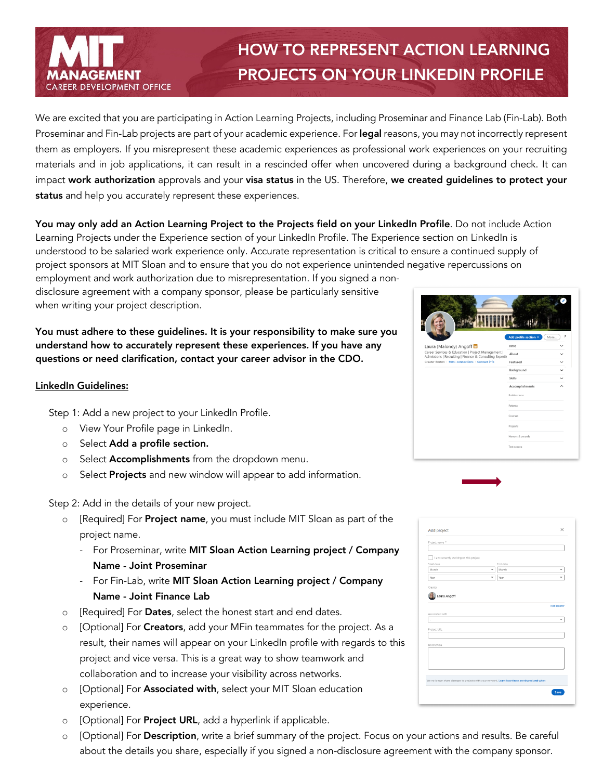

## HOW TO REPRESENT ACTION LEARNING PROJECTS ON YOUR LINKEDIN PROFILE

We are excited that you are participating in Action Learning Projects, including Proseminar and Finance Lab (Fin-Lab). Both Proseminar and Fin-Lab projects are part of your academic experience. For legal reasons, you may not incorrectly represent them as employers. If you misrepresent these academic experiences as professional work experiences on your recruiting materials and in job applications, it can result in a rescinded offer when uncovered during a background check. It can impact work authorization approvals and your visa status in the US. Therefore, we created guidelines to protect your status and help you accurately represent these experiences.

You may only add an Action Learning Project to the Projects field on your LinkedIn Profile. Do not include Action Learning Projects under the Experience section of your LinkedIn Profile. The Experience section on LinkedIn is understood to be salaried work experience only. Accurate representation is critical to ensure a continued supply of project sponsors at MIT Sloan and to ensure that you do not experience unintended negative repercussions on

employment and work authorization due to misrepresentation. If you signed a nondisclosure agreement with a company sponsor, please be particularly sensitive when writing your project description.

You must adhere to these guidelines. It is your responsibility to make sure you understand how to accurately represent these experiences. If you have any questions or need clarification, contact your career advisor in the CDO.

## LinkedIn Guidelines:

Step 1: Add a new project to your LinkedIn Profile.

- o View Your Profile page in LinkedIn.
- o Select Add a profile section.
- o Select **Accomplishments** from the dropdown menu.
- o Select Projects and new window will appear to add information.

Step 2: Add in the details of your new project.

- o [Required] For **Project name**, you must include MIT Sloan as part of the project name.
	- For Proseminar, write MIT Sloan Action Learning project / Company Name - Joint Proseminar
	- For Fin-Lab, write MIT Sloan Action Learning project / Company Name - Joint Finance Lab
- o [Required] For Dates, select the honest start and end dates.
- o [Optional] For **Creators**, add your MFin teammates for the project. As a result, their names will appear on your LinkedIn profile with regards to this project and vice versa. This is a great way to show teamwork and collaboration and to increase your visibility across networks.
- o [Optional] For Associated with, select your MIT Sloan education experience.
- o [Optional] For **Project URL**, add a hyperlink if applicable.
- o [Optional] For Description, write a brief summary of the project. Focus on your actions and results. Be careful about the details you share, especially if you signed a non-disclosure agreement with the company sponsor.

|                                                                                                               | Add profile section * | ,<br>More   |
|---------------------------------------------------------------------------------------------------------------|-----------------------|-------------|
| Laura (Maloney) Angoff in                                                                                     | Intro                 |             |
| Career Services & Education   Project Management  <br>Admissions   Recruiting   Finance & Consulting Expertis | About                 |             |
| Greater Boston · 500+ connections · Contact info                                                              | Featured              |             |
|                                                                                                               | Background            | $\check{ }$ |
|                                                                                                               | Skills                |             |
|                                                                                                               | Accomplishments       |             |
|                                                                                                               | Publications          |             |
|                                                                                                               | Patents               |             |
|                                                                                                               | Courses               |             |
|                                                                                                               | Projects              |             |
|                                                                                                               | Honors & awards       |             |
|                                                                                                               |                       |             |

| Project name *                         |                                                                                               |             |
|----------------------------------------|-----------------------------------------------------------------------------------------------|-------------|
|                                        |                                                                                               |             |
| I am currently working on this project |                                                                                               |             |
| Start date                             | End date                                                                                      |             |
| Month                                  | Month                                                                                         |             |
| Year                                   | Year                                                                                          |             |
|                                        |                                                                                               |             |
| Creator                                |                                                                                               |             |
|                                        |                                                                                               |             |
| Laura Angoff                           |                                                                                               |             |
|                                        |                                                                                               |             |
|                                        |                                                                                               | Add creator |
| Associated with                        |                                                                                               |             |
| i.                                     |                                                                                               |             |
|                                        |                                                                                               |             |
| Project URL                            |                                                                                               |             |
|                                        |                                                                                               |             |
| Description                            |                                                                                               |             |
|                                        |                                                                                               |             |
|                                        |                                                                                               |             |
|                                        |                                                                                               |             |
|                                        |                                                                                               |             |
|                                        | We no longer share changes to projects with your network. Learn how these are shared and when |             |